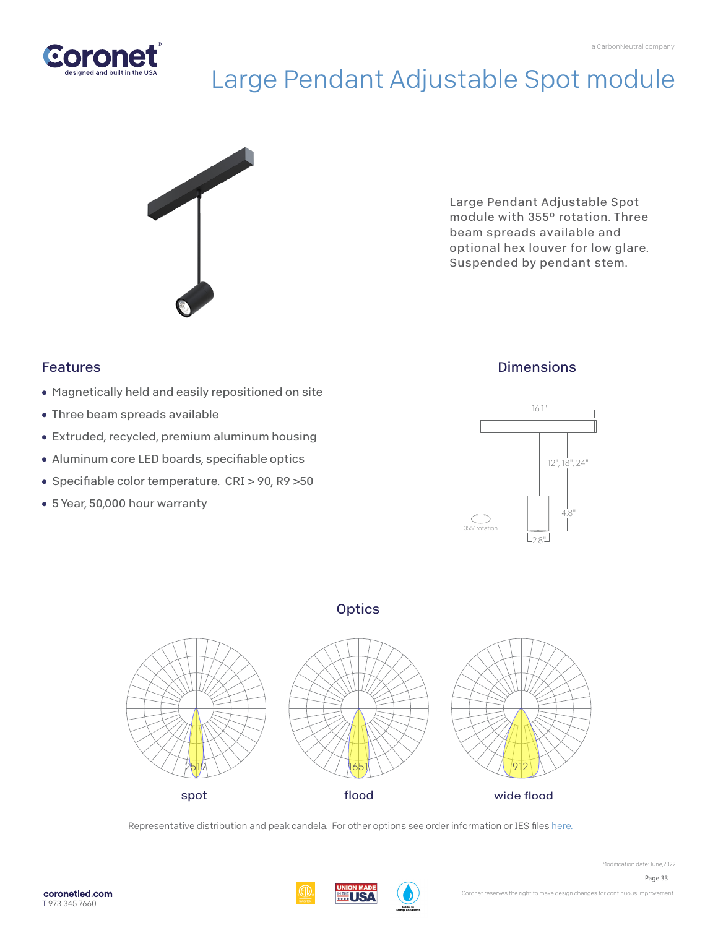

# Large Pendant Adjustable Spot module



Large Pendant Adjustable Spot module with 355° rotation. Three beam spreads available and optional hex louver for low glare. Suspended by pendant stem.

## Features

- Magnetically held and easily repositioned on site
- Three beam spreads available
- Extruded, recycled, premium aluminum housing
- Aluminum core LED boards, specifiable optics
- Specifiable color temperature. CRI > 90, R9 >50
- 5 Year, 50,000 hour warranty

## **Dimensions**



### **Optics**



Representative distribution and peak candela. For other options see order information or IES file[s here.](https://coronetled.com/downloads/)

WI ISA